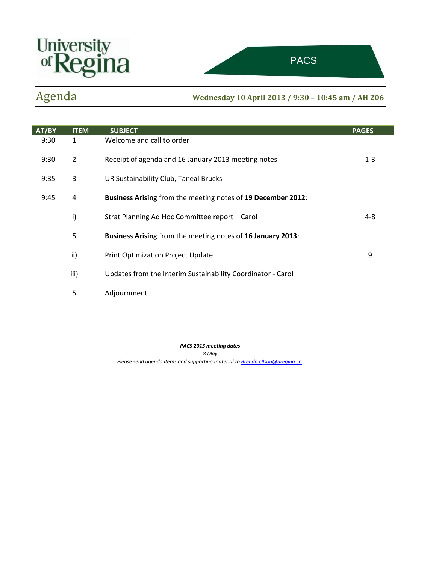



ttee on Sustainability of the Sustainability of the Sustainability of the Sustainability of the Sustainability

# Agenda **Wednesday <sup>10</sup> April <sup>2013</sup> / 9:30 – 10:45 am / AH 206**

| AT/BY | <b>ITEM</b>    | <b>SUBJECT</b>                                               | <b>PAGES</b> |
|-------|----------------|--------------------------------------------------------------|--------------|
| 9:30  | $\mathbf{1}$   | Welcome and call to order                                    |              |
| 9:30  | $\overline{2}$ | Receipt of agenda and 16 January 2013 meeting notes          | $1 - 3$      |
| 9:35  | 3              | UR Sustainability Club, Taneal Brucks                        |              |
| 9:45  | 4              | Business Arising from the meeting notes of 19 December 2012: |              |
|       | i)             | Strat Planning Ad Hoc Committee report - Carol               | $4 - 8$      |
|       | 5              | Business Arising from the meeting notes of 16 January 2013:  |              |
|       | ii)            | <b>Print Optimization Project Update</b>                     | 9            |
|       | iii)           | Updates from the Interim Sustainability Coordinator - Carol  |              |
|       | 5              | Adjournment                                                  |              |
|       |                |                                                              |              |
|       |                |                                                              |              |

*PACS 2013 meeting dates 8 May Please send agenda items and supporting material t[o Brenda.Olson@uregina.ca.](mailto:Brenda.Olson@uregina.ca)*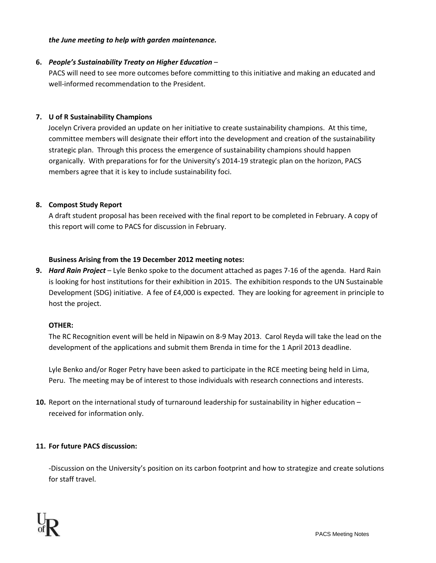### *the June meeting to help with garden maintenance.*

### **6.** *People's Sustainability Treaty on Higher Education* –

PACS will need to see more outcomes before committing to this initiative and making an educated and well-informed recommendation to the President.

### **7. U of R Sustainability Champions**

Jocelyn Crivera provided an update on her initiative to create sustainability champions. At this time, committee members will designate their effort into the development and creation of the sustainability strategic plan. Through this process the emergence of sustainability champions should happen organically. With preparations for for the University's 2014-19 strategic plan on the horizon, PACS members agree that it is key to include sustainability foci.

### **8. Compost Study Report**

A draft student proposal has been received with the final report to be completed in February. A copy of this report will come to PACS for discussion in February.

### **Business Arising from the 19 December 2012 meeting notes:**

**9.** *Hard Rain Project* – Lyle Benko spoke to the document attached as pages 7-16 of the agenda. Hard Rain is looking for host institutions for their exhibition in 2015. The exhibition responds to the UN Sustainable Development (SDG) initiative. A fee of £4,000 is expected. They are looking for agreement in principle to host the project.

### **OTHER:**

The RC Recognition event will be held in Nipawin on 8-9 May 2013. Carol Reyda will take the lead on the development of the applications and submit them Brenda in time for the 1 April 2013 deadline.

Lyle Benko and/or Roger Petry have been asked to participate in the RCE meeting being held in Lima, Peru. The meeting may be of interest to those individuals with research connections and interests.

**10.** Report on the international study of turnaround leadership for sustainability in higher education – received for information only.

### **11. For future PACS discussion:**

-Discussion on the University's position on its carbon footprint and how to strategize and create solutions for staff travel.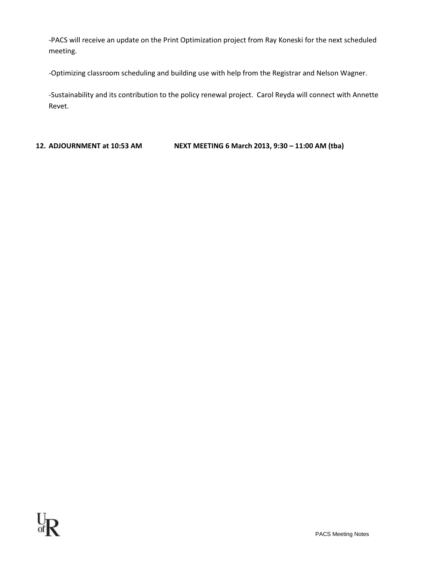-PACS will receive an update on the Print Optimization project from Ray Koneski for the next scheduled meeting.

-Optimizing classroom scheduling and building use with help from the Registrar and Nelson Wagner.

-Sustainability and its contribution to the policy renewal project. Carol Reyda will connect with Annette Revet.

**12. ADJOURNMENT at 10:53 AM NEXT MEETING 6 March 2013, 9:30 – 11:00 AM (tba)**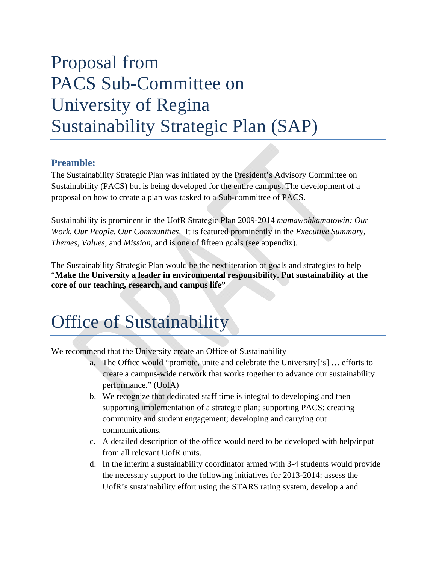# Proposal from PACS Sub-Committee on University of Regina Sustainability Strategic Plan (SAP)

# **Preamble:**

The Sustainability Strategic Plan was initiated by the President's Advisory Committee on Sustainability (PACS) but is being developed for the entire campus. The development of a proposal on how to create a plan was tasked to a Sub-committee of PACS.

Sustainability is prominent in the UofR Strategic Plan 2009-2014 *mamawohkamatowin: Our Work, Our People, Our Communities*. It is featured prominently in the *Executive Summary*, *Themes, Values,* and *Mission*, and is one of fifteen goals (see appendix).

The Sustainability Strategic Plan would be the next iteration of goals and strategies to help "**Make the University a leader in environmental responsibility. Put sustainability at the core of our teaching, research, and campus life"** 

# Office of Sustainability

We recommend that the University create an Office of Sustainability

- a. The Office would "promote, unite and celebrate the University['s] … efforts to create a campus-wide network that works together to advance our sustainability performance." (UofA)
- b. We recognize that dedicated staff time is integral to developing and then supporting implementation of a strategic plan; supporting PACS; creating community and student engagement; developing and carrying out communications.
- c. A detailed description of the office would need to be developed with help/input from all relevant UofR units.
- d. In the interim a sustainability coordinator armed with 3-4 students would provide the necessary support to the following initiatives for 2013-2014: assess the UofR's sustainability effort using the STARS rating system, develop a and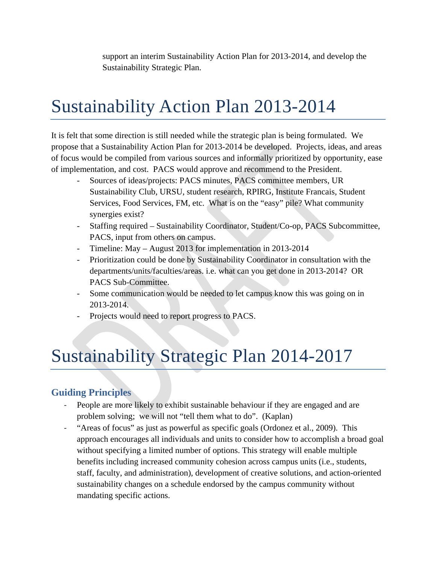support an interim Sustainability Action Plan for 2013-2014, and develop the Sustainability Strategic Plan.

# Sustainability Action Plan 2013-2014

It is felt that some direction is still needed while the strategic plan is being formulated. We propose that a Sustainability Action Plan for 2013-2014 be developed. Projects, ideas, and areas of focus would be compiled from various sources and informally prioritized by opportunity, ease of implementation, and cost. PACS would approve and recommend to the President.

- Sources of ideas/projects: PACS minutes, PACS committee members, UR Sustainability Club, URSU, student research, RPIRG, Institute Francais, Student Services, Food Services, FM, etc. What is on the "easy" pile? What community synergies exist?
- Staffing required Sustainability Coordinator, Student/Co-op, PACS Subcommittee, PACS, input from others on campus.
- Timeline: May August 2013 for implementation in 2013-2014
- Prioritization could be done by Sustainability Coordinator in consultation with the departments/units/faculties/areas. i.e. what can you get done in 2013-2014? OR PACS Sub-Committee.
- Some communication would be needed to let campus know this was going on in 2013-2014.
- Projects would need to report progress to PACS.

# Sustainability Strategic Plan 2014-2017

# **Guiding Principles**

- People are more likely to exhibit sustainable behaviour if they are engaged and are problem solving; we will not "tell them what to do". (Kaplan)
- ‐ "Areas of focus" as just as powerful as specific goals (Ordonez et al., 2009). This approach encourages all individuals and units to consider how to accomplish a broad goal without specifying a limited number of options. This strategy will enable multiple benefits including increased community cohesion across campus units (i.e., students, staff, faculty, and administration), development of creative solutions, and action-oriented sustainability changes on a schedule endorsed by the campus community without mandating specific actions.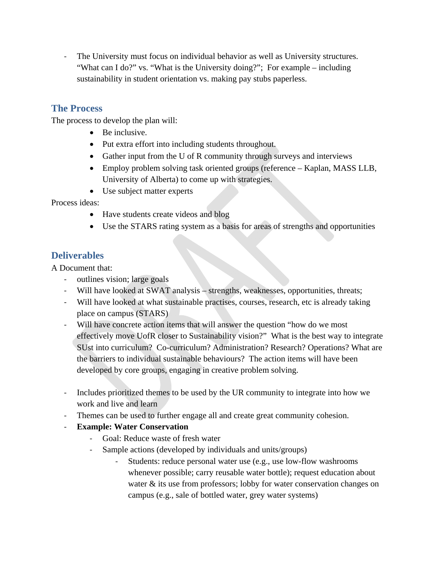‐ The University must focus on individual behavior as well as University structures. "What can I do?" vs. "What is the University doing?"; For example – including sustainability in student orientation vs. making pay stubs paperless.

# **The Process**

The process to develop the plan will:

- Be inclusive.
- Put extra effort into including students throughout.
- Gather input from the U of R community through surveys and interviews
- Employ problem solving task oriented groups (reference Kaplan, MASS LLB, University of Alberta) to come up with strategies.
- Use subject matter experts

Process ideas:

- Have students create videos and blog
- Use the STARS rating system as a basis for areas of strengths and opportunities

### **Deliverables**

A Document that:

- ‐ outlines vision; large goals
- ‐ Will have looked at SWAT analysis strengths, weaknesses, opportunities, threats;
- ‐ Will have looked at what sustainable practises, courses, research, etc is already taking place on campus (STARS)
- ‐ Will have concrete action items that will answer the question "how do we most effectively move UofR closer to Sustainability vision?" What is the best way to integrate SUst into curriculum? Co-curriculum? Administration? Research? Operations? What are the barriers to individual sustainable behaviours? The action items will have been developed by core groups, engaging in creative problem solving.
- ‐ Includes prioritized themes to be used by the UR community to integrate into how we work and live and learn
- ‐ Themes can be used to further engage all and create great community cohesion.
- ‐ **Example: Water Conservation** 
	- ‐ Goal: Reduce waste of fresh water
	- Sample actions (developed by individuals and units/groups)
		- Students: reduce personal water use (e.g., use low-flow washrooms whenever possible; carry reusable water bottle); request education about water & its use from professors; lobby for water conservation changes on campus (e.g., sale of bottled water, grey water systems)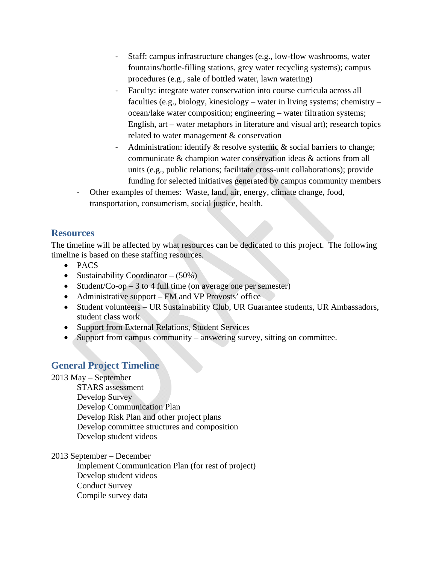- ‐ Staff: campus infrastructure changes (e.g., low-flow washrooms, water fountains/bottle-filling stations, grey water recycling systems); campus procedures (e.g., sale of bottled water, lawn watering)
- Faculty: integrate water conservation into course curricula across all faculties (e.g., biology, kinesiology – water in living systems; chemistry – ocean/lake water composition; engineering – water filtration systems; English, art – water metaphors in literature and visual art); research topics related to water management & conservation
- Administration: identify  $\&$  resolve systemic  $\&$  social barriers to change; communicate & champion water conservation ideas & actions from all units (e.g., public relations; facilitate cross-unit collaborations); provide funding for selected initiatives generated by campus community members
- ‐ Other examples of themes: Waste, land, air, energy, climate change, food, transportation, consumerism, social justice, health.

### **Resources**

The timeline will be affected by what resources can be dedicated to this project. The following timeline is based on these staffing resources.

- PACS
- Sustainability Coordinator  $(50\%)$
- Student/Co-op 3 to 4 full time (on average one per semester)
- Administrative support FM and VP Provosts' office
- Student volunteers UR Sustainability Club, UR Guarantee students, UR Ambassadors, student class work.
- Support from External Relations, Student Services
- Support from campus community answering survey, sitting on committee.

### **General Project Timeline**

2013 May – September

 STARS assessment Develop Survey Develop Communication Plan Develop Risk Plan and other project plans Develop committee structures and composition Develop student videos

2013 September – December

 Implement Communication Plan (for rest of project) Develop student videos Conduct Survey Compile survey data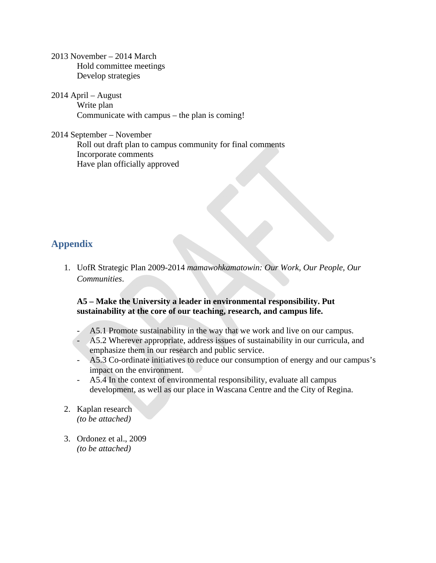2013 November – 2014 March Hold committee meetings Develop strategies

2014 April – August Write plan Communicate with campus – the plan is coming!

2014 September – November Roll out draft plan to campus community for final comments Incorporate comments Have plan officially approved

### **Appendix**

1. UofR Strategic Plan 2009-2014 *mamawohkamatowin: Our Work, Our People, Our Communities*.

### **A5 – Make the University a leader in environmental responsibility. Put sustainability at the core of our teaching, research, and campus life.**

- A5.1 Promote sustainability in the way that we work and live on our campus.
- A5.2 Wherever appropriate, address issues of sustainability in our curricula, and emphasize them in our research and public service.
- A5.3 Co-ordinate initiatives to reduce our consumption of energy and our campus's impact on the environment.
- A5.4 In the context of environmental responsibility, evaluate all campus development, as well as our place in Wascana Centre and the City of Regina.
- 2. Kaplan research *(to be attached)*
- 3. Ordonez et al., 2009 *(to be attached)*